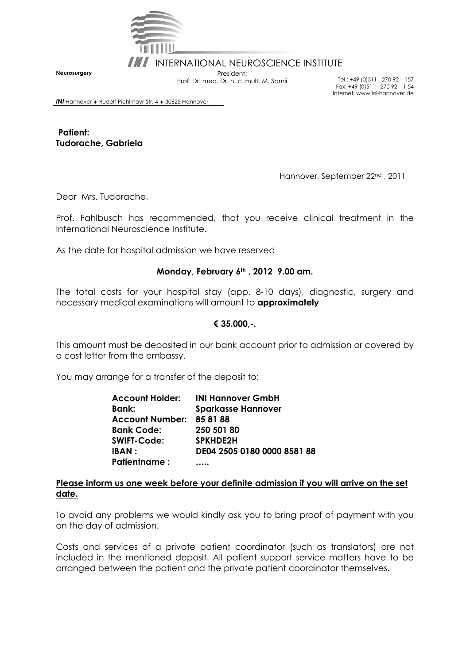

INI INTERNATIONAL NEUROSCIENCE INSTITUTE

Prof. Dr. med. Dr. h. c. mult. M. Samii Tel.: +49 (0)511 - 270 92 – 157

Fax: +49 (0)511 - 270 92 – 1 54 Internet: www.ini-hannover.de

**Neurosurgery** 

*INI* Hannover ♦ Rudolf-Pichlmayr-Str. 4 ♦ 30625 Hannover

 **Patient: Tudorache, Gabriela** 

Hannover, September 22nd , 2011

Dear Mrs. Tudorache,

Prof. Fahlbusch has recommended, that you receive clinical treatment in the International Neuroscience Institute.

As the date for hospital admission we have reserved

#### **Monday, February 6th , 2012 9.00 am.**

The total costs for your hospital stay (app. 8-10 days), diagnostic, surgery and necessary medical examinations will amount to **approximately** 

### **€ 35.000,-.**

This amount must be deposited in our bank account prior to admission or covered by a cost letter from the embassy.

You may arrange for a transfer of the deposit to:

**Account Holder: INI Hannover GmbH Bank: Sparkasse Hannover Account Number: 85 81 88 Bank Code: 250 501 80 SWIFT-Code: SPKHDE2H IBAN : DE04 2505 0180 0000 8581 88 Patientname : …..** 

#### **Please inform us one week before your definite admission if you will arrive on the set date.**

To avoid any problems we would kindly ask you to bring proof of payment with you on the day of admission.

Costs and services of a private patient coordinator (such as translators) are not included in the mentioned deposit. All patient support service matters have to be arranged between the patient and the private patient coordinator themselves.